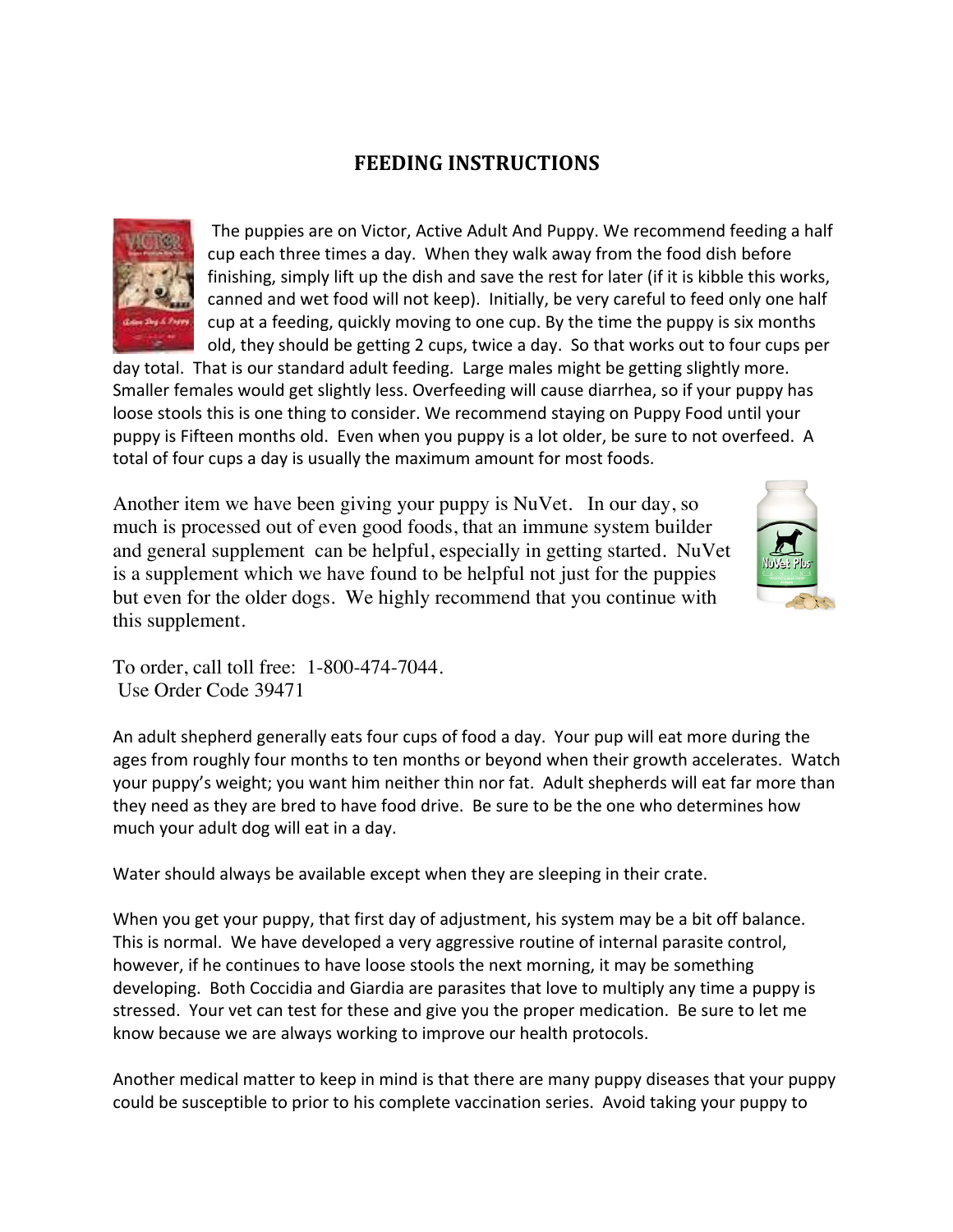## **FEEDING INSTRUCTIONS**



The puppies are on Victor, Active Adult And Puppy. We recommend feeding a half cup each three times a day. When they walk away from the food dish before finishing, simply lift up the dish and save the rest for later (if it is kibble this works, canned and wet food will not keep). Initially, be very careful to feed only one half cup at a feeding, quickly moving to one cup. By the time the puppy is six months old, they should be getting 2 cups, twice a day. So that works out to four cups per

day total. That is our standard adult feeding. Large males might be getting slightly more. Smaller females would get slightly less. Overfeeding will cause diarrhea, so if your puppy has loose stools this is one thing to consider. We recommend staying on Puppy Food until your puppy is Fifteen months old. Even when you puppy is a lot older, be sure to not overfeed. A total of four cups a day is usually the maximum amount for most foods.

Another item we have been giving your puppy is NuVet. In our day, so much is processed out of even good foods, that an immune system builder and general supplement can be helpful, especially in getting started. NuVet is a supplement which we have found to be helpful not just for the puppies but even for the older dogs. We highly recommend that you continue with this supplement.



To order, call toll free: 1-800-474-7044. Use Order Code 39471

An adult shepherd generally eats four cups of food a day. Your pup will eat more during the ages from roughly four months to ten months or beyond when their growth accelerates. Watch your puppy's weight; you want him neither thin nor fat. Adult shepherds will eat far more than they need as they are bred to have food drive. Be sure to be the one who determines how much your adult dog will eat in a day.

Water should always be available except when they are sleeping in their crate.

When you get your puppy, that first day of adjustment, his system may be a bit off balance. This is normal. We have developed a very aggressive routine of internal parasite control, however, if he continues to have loose stools the next morning, it may be something developing. Both Coccidia and Giardia are parasites that love to multiply any time a puppy is stressed. Your vet can test for these and give you the proper medication. Be sure to let me know because we are always working to improve our health protocols.

Another medical matter to keep in mind is that there are many puppy diseases that your puppy could be susceptible to prior to his complete vaccination series. Avoid taking your puppy to